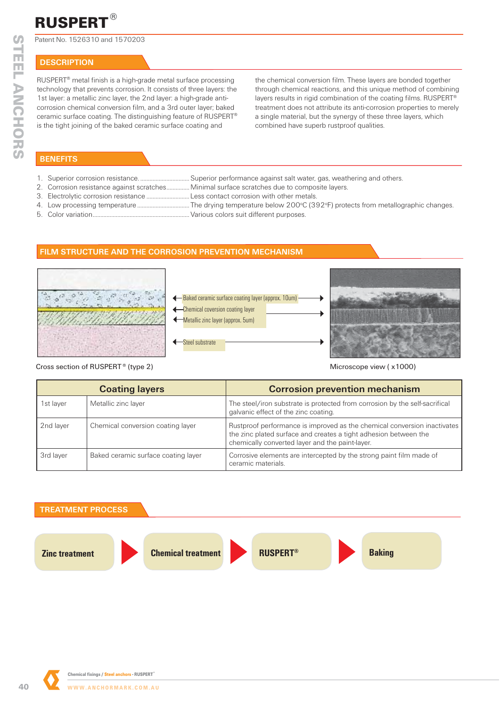#### **®** RUSPERT

Patent No. 1526310 and 1570203

# **DESCRIPTION**

RUSPERT® metal finish is a high-grade metal surface processing technology that prevents corrosion. It consists of three layers: the 1st layer: a metallic zinc layer, the 2nd layer: a high-grade anticorrosion chemical conversion film, and a 3rd outer layer; baked ceramic surface coating. The distinguishing feature of RUSPERT® is the tight joining of the baked ceramic surface coating and

the chemical conversion film. These layers are bonded together through chemical reactions, and this unique method of combining layers results in rigid combination of the coating films. RUSPERT® treatment does not attribute its anti-corrosion properties to merely a single material, but the synergy of these three layers, which combined have superb rustproof qualities.

## **BENEFITS**

- 1. Superior corrosion resistance. ................................ Superior performance against salt water, gas, weathering and others.
- 2. Corrosion resistance against scratches ............... Minimal surface scratches due to composite layers.
- 3. Electrolytic corrosion resistance ............................ Less contact corrosion with other metals.
- 4. Low processing temperature .................................. The drying temperature below 200o C (392o F) protects from metallographic changes.
- 5. Color variation ............................................................... Various colors suit different purposes.

### **FILM STRUCTURE AND THE CORROSION PREVENTION MECHANISM**







Cross section of RUSPERT<sup>®</sup> (type 2) and the cross section of RUSPERT<sup>®</sup> (type 2) and the cross section of RUSPERT<sup>®</sup> (type 2)

| <b>Coating layers</b> |                                     | <b>Corrosion prevention mechanism</b>                                                                                                                                                           |  |
|-----------------------|-------------------------------------|-------------------------------------------------------------------------------------------------------------------------------------------------------------------------------------------------|--|
| 1st layer             | Metallic zinc layer                 | The steel/iron substrate is protected from corrosion by the self-sacrifical<br>galvanic effect of the zinc coating.                                                                             |  |
| 2nd layer             | Chemical conversion coating layer   | Rustproof performance is improved as the chemical conversion inactivates<br>the zinc plated surface and creates a tight adhesion between the<br>chemically converted layer and the paint-layer. |  |
| 3rd layer             | Baked ceramic surface coating layer | Corrosive elements are intercepted by the strong paint film made of<br>ceramic materials.                                                                                                       |  |

#### **TREATMENT PROCESS**